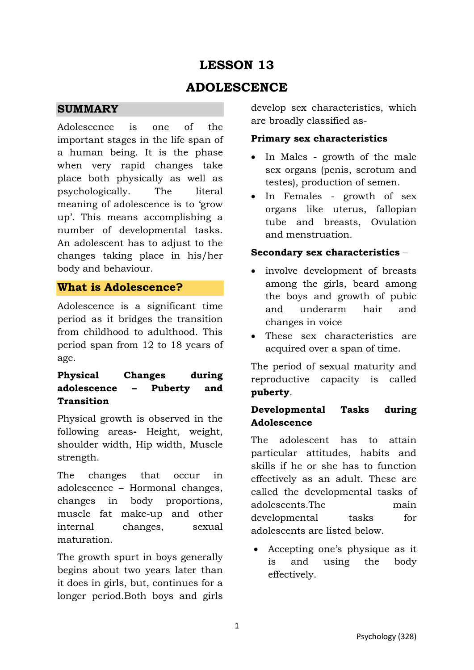# **LESSON 13**

## **ADOLESCENCE**

### **SUMMARY**

Adolescence is one of the important stages in the life span of a human being. It is the phase when very rapid changes take place both physically as well as psychologically. The literal meaning of adolescence is to 'grow up'. This means accomplishing a number of developmental tasks. An adolescent has to adjust to the changes taking place in his/her body and behaviour.

## **What is Adolescence?**

Adolescence is a significant time period as it bridges the transition from childhood to adulthood. This period span from 12 to 18 years of age.

## **Physical Changes during adolescence – Puberty and Transition**

Physical growth is observed in the following areas**-** Height, weight, shoulder width, Hip width, Muscle strength.

The changes that occur in adolescence – Hormonal changes, changes in body proportions, muscle fat make-up and other internal changes, sexual maturation.

The growth spurt in boys generally begins about two years later than it does in girls, but, continues for a longer period.Both boys and girls develop sex characteristics, which are broadly classified as-

### **Primary sex characteristics**

- In Males growth of the male sex organs (penis, scrotum and testes), production of semen.
- In Females growth of sex organs like uterus, fallopian tube and breasts, Ovulation and menstruation.

### **Secondary sex characteristics** –

- involve development of breasts among the girls, beard among the boys and growth of pubic and underarm hair and changes in voice
- These sex characteristics are acquired over a span of time.

The period of sexual maturity and reproductive capacity is called **puberty**.

### **Developmental Tasks during Adolescence**

The adolescent has to attain particular attitudes, habits and skills if he or she has to function effectively as an adult. These are called the developmental tasks of adolescents.The main developmental tasks for adolescents are listed below.

• Accepting one's physique as it is and using the body effectively.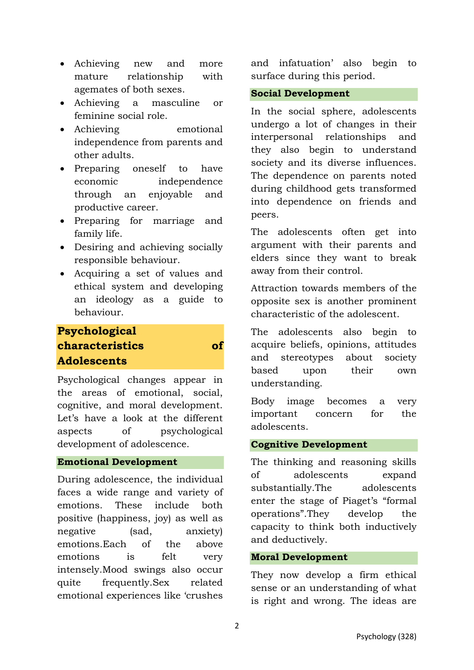- Achieving new and more mature relationship with agemates of both sexes.
- Achieving a masculine or feminine social role.
- Achieving emotional independence from parents and other adults.
- Preparing oneself to have economic independence through an enjoyable and productive career.
- Preparing for marriage and family life.
- Desiring and achieving socially responsible behaviour.
- Acquiring a set of values and ethical system and developing an ideology as a guide to behaviour.

## **Psychological characteristics of Adolescents**

Psychological changes appear in the areas of emotional, social, cognitive, and moral development. Let's have a look at the different aspects of psychological development of adolescence.

### **Emotional Development**

During adolescence, the individual faces a wide range and variety of emotions. These include both positive (happiness, joy) as well as negative (sad, anxiety) emotions.Each of the above emotions is felt very intensely.Mood swings also occur quite frequently.Sex related emotional experiences like 'crushes and infatuation' also begin to surface during this period.

#### **Social Development**

In the social sphere, adolescents undergo a lot of changes in their interpersonal relationships and they also begin to understand society and its diverse influences. The dependence on parents noted during childhood gets transformed into dependence on friends and peers.

The adolescents often get into argument with their parents and elders since they want to break away from their control.

Attraction towards members of the opposite sex is another prominent characteristic of the adolescent.

The adolescents also begin to acquire beliefs, opinions, attitudes and stereotypes about society based upon their own understanding.

Body image becomes a very important concern for the adolescents.

### **Cognitive Development**

The thinking and reasoning skills of adolescents expand substantially.The adolescents enter the stage of Piaget's "formal operations".They develop the capacity to think both inductively and deductively.

#### **Moral Development**

They now develop a firm ethical sense or an understanding of what is right and wrong. The ideas are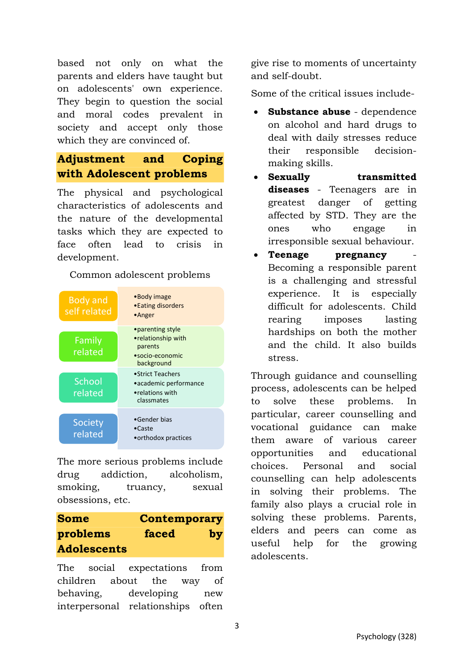based not only on what the parents and elders have taught but on adolescents' own experience. They begin to question the social and moral codes prevalent in society and accept only those which they are convinced of.

## **Adjustment and Coping with Adolescent problems**

The physical and psychological characteristics of adolescents and the nature of the developmental tasks which they are expected to face often lead to crisis in development.

Common adolescent problems



The more serious problems include drug addiction, alcoholism, smoking, truancy, sexual obsessions, etc.

| <b>Some</b>        | <b>Contemporary</b> |    |
|--------------------|---------------------|----|
| problems           | faced               | by |
| <b>Adolescents</b> |                     |    |

The social expectations from children about the way of behaving, developing new interpersonal relationships often give rise to moments of uncertainty and self-doubt.

Some of the critical issues include-

- **Substance abuse** dependence on alcohol and hard drugs to deal with daily stresses reduce their responsible decisionmaking skills.
- **Sexually transmitted diseases** - Teenagers are in greatest danger of getting affected by STD. They are the ones who engage in irresponsible sexual behaviour.
- **Teenage pregnancy** Becoming a responsible parent is a challenging and stressful experience. It is especially difficult for adolescents. Child rearing imposes lasting hardships on both the mother and the child. It also builds stress.

Through guidance and counselling process, adolescents can be helped to solve these problems. In particular, career counselling and vocational guidance can make them aware of various career opportunities and educational choices. Personal and social counselling can help adolescents in solving their problems. The family also plays a crucial role in solving these problems. Parents, elders and peers can come as useful help for the growing adolescents.